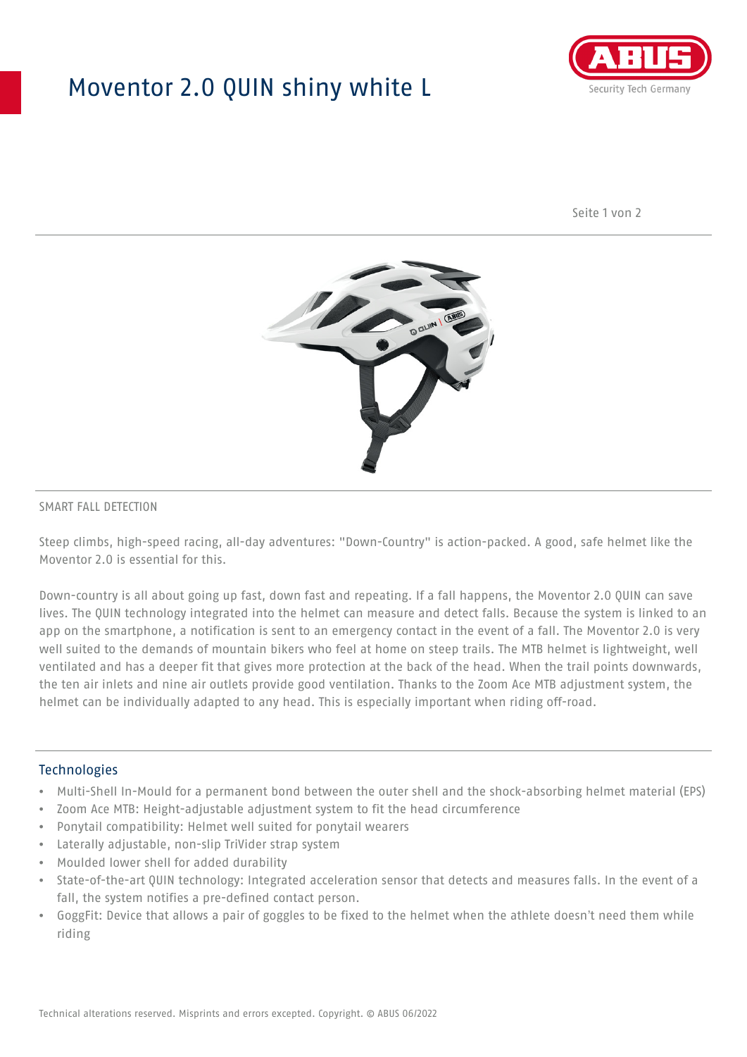## Moventor 2.0 QUIN shiny white L



Seite 1 von 2



#### SMART FALL DETECTION

Steep climbs, high-speed racing, all-day adventures: "Down-Country" is action-packed. A good, safe helmet like the Moventor 2.0 is essential for this.

Down-country is all about going up fast, down fast and repeating. If a fall happens, the Moventor 2.0 QUIN can save lives. The QUIN technology integrated into the helmet can measure and detect falls. Because the system is linked to an app on the smartphone, a notification is sent to an emergency contact in the event of a fall. The Moventor 2.0 is very well suited to the demands of mountain bikers who feel at home on steep trails. The MTB helmet is lightweight, well ventilated and has a deeper fit that gives more protection at the back of the head. When the trail points downwards, the ten air inlets and nine air outlets provide good ventilation. Thanks to the Zoom Ace MTB adjustment system, the helmet can be individually adapted to any head. This is especially important when riding off-road.

#### Technologies

- Multi-Shell In-Mould for a permanent bond between the outer shell and the shock-absorbing helmet material (EPS)
- Zoom Ace MTB: Height-adjustable adjustment system to fit the head circumference
- Ponytail compatibility: Helmet well suited for ponytail wearers
- Laterally adjustable, non-slip TriVider strap system
- Moulded lower shell for added durability
- State-of-the-art QUIN technology: Integrated acceleration sensor that detects and measures falls. In the event of a fall, the system notifies a pre-defined contact person.
- GoggFit: Device that allows a pair of goggles to be fixed to the helmet when the athlete doesn't need them while riding